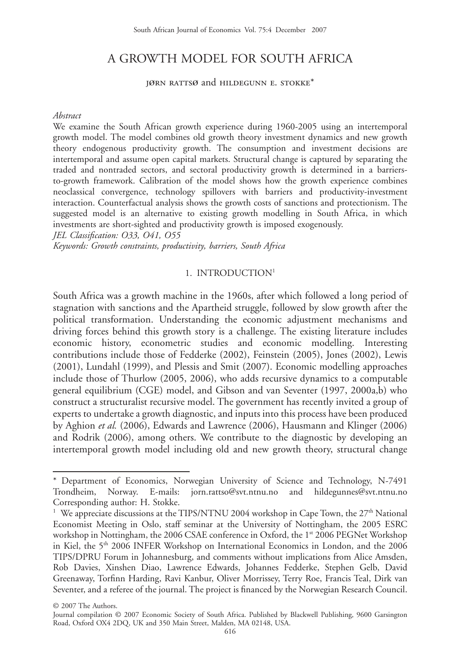# A GROWTH MODEL FOR SOUTH AFRICA

## jørn rattsø and hildegunn e. stokke\*

#### *Abstract*

We examine the South African growth experience during 1960-2005 using an intertemporal growth model. The model combines old growth theory investment dynamics and new growth theory endogenous productivity growth. The consumption and investment decisions are intertemporal and assume open capital markets. Structural change is captured by separating the traded and nontraded sectors, and sectoral productivity growth is determined in a barriersto-growth framework. Calibration of the model shows how the growth experience combines neoclassical convergence, technology spillovers with barriers and productivity-investment interaction. Counterfactual analysis shows the growth costs of sanctions and protectionism. The suggested model is an alternative to existing growth modelling in South Africa, in which investments are short-sighted and productivity growth is imposed exogenously. *JEL Classification: O33, O41, O55*

*Keywords: Growth constraints, productivity, barriers, South Africa*

## 1. INTRODUCTION1

South Africa was a growth machine in the 1960s, after which followed a long period of stagnation with sanctions and the Apartheid struggle, followed by slow growth after the political transformation. Understanding the economic adjustment mechanisms and driving forces behind this growth story is a challenge. The existing literature includes economic history, econometric studies and economic modelling. Interesting contributions include those of Fedderke (2002), Feinstein (2005), Jones (2002), Lewis (2001), Lundahl (1999), and Plessis and Smit (2007). Economic modelling approaches include those of Thurlow (2005, 2006), who adds recursive dynamics to a computable general equilibrium (CGE) model, and Gibson and van Seventer (1997, 2000a,b) who construct a structuralist recursive model. The government has recently invited a group of experts to undertake a growth diagnostic, and inputs into this process have been produced by Aghion *et al.* (2006), Edwards and Lawrence (2006), Hausmann and Klinger (2006) and Rodrik (2006), among others. We contribute to the diagnostic by developing an intertemporal growth model including old and new growth theory, structural change

© 2007 The Authors.

<sup>\*</sup> Department of Economics, Norwegian University of Science and Technology, N-7491 Trondheim, Norway. E-mails: jorn[.rattso@svt.ntnu.no](mailto:rattso@svt.ntnu.no) and [hildegunnes@svt.ntnu.no](mailto:hildegunnes@svt.ntnu.no) Corresponding author: H. Stokke.

<sup>&</sup>lt;sup>1</sup> We appreciate discussions at the TIPS/NTNU 2004 workshop in Cape Town, the  $27<sup>th</sup>$  National Economist Meeting in Oslo, staff seminar at the University of Nottingham, the 2005 ESRC workshop in Nottingham, the 2006 CSAE conference in Oxford, the 1<sup>st</sup> 2006 PEGNet Workshop in Kiel, the 5<sup>th</sup> 2006 INFER Workshop on International Economics in London, and the 2006 TIPS/DPRU Forum in Johannesburg, and comments without implications from Alice Amsden, Rob Davies, Xinshen Diao, Lawrence Edwards, Johannes Fedderke, Stephen Gelb, David Greenaway, Torfinn Harding, Ravi Kanbur, Oliver Morrissey, Terry Roe, Francis Teal, Dirk van Seventer, and a referee of the journal. The project is financed by the Norwegian Research Council.

Journal compilation © 2007 Economic Society of South Africa. Published by Blackwell Publishing, 9600 Garsington Road, Oxford OX4 2DQ, UK and 350 Main Street, Malden, MA 02148, USA.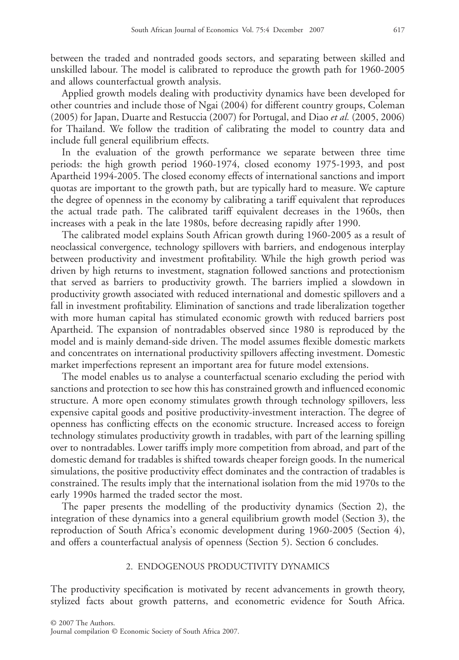between the traded and nontraded goods sectors, and separating between skilled and unskilled labour. The model is calibrated to reproduce the growth path for 1960-2005 and allows counterfactual growth analysis.

Applied growth models dealing with productivity dynamics have been developed for other countries and include those of Ngai (2004) for different country groups, Coleman (2005) for Japan, Duarte and Restuccia (2007) for Portugal, and Diao *et al.* (2005, 2006) for Thailand. We follow the tradition of calibrating the model to country data and include full general equilibrium effects.

In the evaluation of the growth performance we separate between three time periods: the high growth period 1960-1974, closed economy 1975-1993, and post Apartheid 1994-2005. The closed economy effects of international sanctions and import quotas are important to the growth path, but are typically hard to measure. We capture the degree of openness in the economy by calibrating a tariff equivalent that reproduces the actual trade path. The calibrated tariff equivalent decreases in the 1960s, then increases with a peak in the late 1980s, before decreasing rapidly after 1990.

The calibrated model explains South African growth during 1960-2005 as a result of neoclassical convergence, technology spillovers with barriers, and endogenous interplay between productivity and investment profitability. While the high growth period was driven by high returns to investment, stagnation followed sanctions and protectionism that served as barriers to productivity growth. The barriers implied a slowdown in productivity growth associated with reduced international and domestic spillovers and a fall in investment profitability. Elimination of sanctions and trade liberalization together with more human capital has stimulated economic growth with reduced barriers post Apartheid. The expansion of nontradables observed since 1980 is reproduced by the model and is mainly demand-side driven. The model assumes flexible domestic markets and concentrates on international productivity spillovers affecting investment. Domestic market imperfections represent an important area for future model extensions.

The model enables us to analyse a counterfactual scenario excluding the period with sanctions and protection to see how this has constrained growth and influenced economic structure. A more open economy stimulates growth through technology spillovers, less expensive capital goods and positive productivity-investment interaction. The degree of openness has conflicting effects on the economic structure. Increased access to foreign technology stimulates productivity growth in tradables, with part of the learning spilling over to nontradables. Lower tariffs imply more competition from abroad, and part of the domestic demand for tradables is shifted towards cheaper foreign goods. In the numerical simulations, the positive productivity effect dominates and the contraction of tradables is constrained. The results imply that the international isolation from the mid 1970s to the early 1990s harmed the traded sector the most.

The paper presents the modelling of the productivity dynamics (Section 2), the integration of these dynamics into a general equilibrium growth model (Section 3), the reproduction of South Africa's economic development during 1960-2005 (Section 4), and offers a counterfactual analysis of openness (Section 5). Section 6 concludes.

#### 2. ENDOGENOUS PRODUCTIVITY DYNAMICS

The productivity specification is motivated by recent advancements in growth theory, stylized facts about growth patterns, and econometric evidence for South Africa.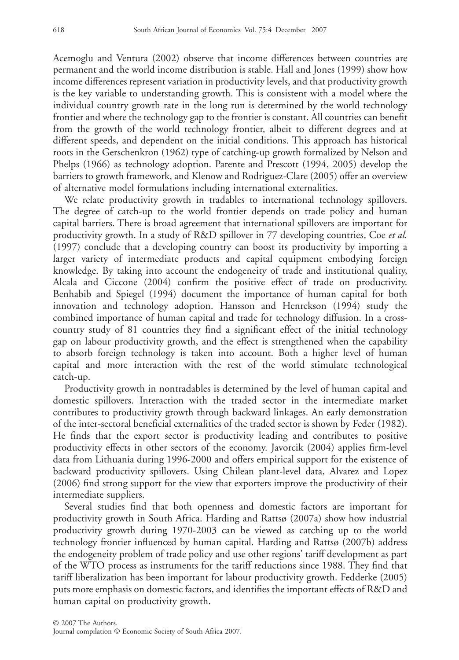Acemoglu and Ventura (2002) observe that income differences between countries are permanent and the world income distribution is stable. Hall and Jones (1999) show how income differences represent variation in productivity levels, and that productivity growth is the key variable to understanding growth. This is consistent with a model where the individual country growth rate in the long run is determined by the world technology frontier and where the technology gap to the frontier is constant. All countries can benefit from the growth of the world technology frontier, albeit to different degrees and at different speeds, and dependent on the initial conditions. This approach has historical roots in the Gerschenkron (1962) type of catching-up growth formalized by Nelson and Phelps (1966) as technology adoption. Parente and Prescott (1994, 2005) develop the barriers to growth framework, and Klenow and Rodriguez-Clare (2005) offer an overview of alternative model formulations including international externalities.

We relate productivity growth in tradables to international technology spillovers. The degree of catch-up to the world frontier depends on trade policy and human capital barriers. There is broad agreement that international spillovers are important for productivity growth. In a study of R&D spillover in 77 developing countries, Coe *et al.* (1997) conclude that a developing country can boost its productivity by importing a larger variety of intermediate products and capital equipment embodying foreign knowledge. By taking into account the endogeneity of trade and institutional quality, Alcala and Ciccone (2004) confirm the positive effect of trade on productivity. Benhabib and Spiegel (1994) document the importance of human capital for both innovation and technology adoption. Hansson and Henrekson (1994) study the combined importance of human capital and trade for technology diffusion. In a crosscountry study of 81 countries they find a significant effect of the initial technology gap on labour productivity growth, and the effect is strengthened when the capability to absorb foreign technology is taken into account. Both a higher level of human capital and more interaction with the rest of the world stimulate technological catch-up.

Productivity growth in nontradables is determined by the level of human capital and domestic spillovers. Interaction with the traded sector in the intermediate market contributes to productivity growth through backward linkages. An early demonstration of the inter-sectoral beneficial externalities of the traded sector is shown by Feder (1982). He finds that the export sector is productivity leading and contributes to positive productivity effects in other sectors of the economy. Javorcik (2004) applies firm-level data from Lithuania during 1996-2000 and offers empirical support for the existence of backward productivity spillovers. Using Chilean plant-level data, Alvarez and Lopez (2006) find strong support for the view that exporters improve the productivity of their intermediate suppliers.

Several studies find that both openness and domestic factors are important for productivity growth in South Africa. Harding and Rattsø (2007a) show how industrial productivity growth during 1970-2003 can be viewed as catching up to the world technology frontier influenced by human capital. Harding and Rattsø (2007b) address the endogeneity problem of trade policy and use other regions' tariff development as part of the WTO process as instruments for the tariff reductions since 1988. They find that tariff liberalization has been important for labour productivity growth. Fedderke (2005) puts more emphasis on domestic factors, and identifies the important effects of R&D and human capital on productivity growth.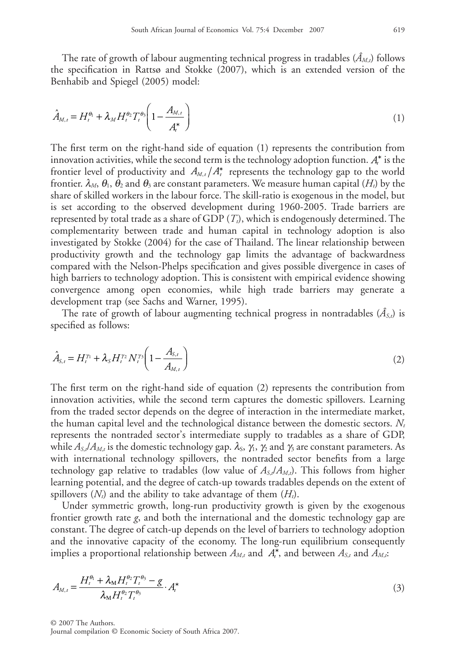The rate of growth of labour augmenting technical progress in tradables  $(\hat{A}_{M,t})$  follows the specification in Rattsø and Stokke (2007), which is an extended version of the Benhabib and Spiegel (2005) model:

$$
\hat{A}_{M,t} = H_t^{\theta_1} + \lambda_M H_t^{\theta_2} T_t^{\theta_3} \left( 1 - \frac{A_{M,t}}{A_t^*} \right)
$$
\n(1)

The first term on the right-hand side of equation (1) represents the contribution from innovation activities, while the second term is the technology adoption function.  $A_\epsilon^*$  is the frontier level of productivity and  $A_{M,t}/A_t^*$  represents the technology gap to the world frontier.  $\lambda_M$ ,  $\theta_1$ ,  $\theta_2$  and  $\theta_3$  are constant parameters. We measure human capital (*H<sub>t</sub>*) by the share of skilled workers in the labour force. The skill-ratio is exogenous in the model, but is set according to the observed development during 1960-2005. Trade barriers are represented by total trade as a share of GDP  $(T<sub>i</sub>)$ , which is endogenously determined. The complementarity between trade and human capital in technology adoption is also investigated by Stokke (2004) for the case of Thailand. The linear relationship between productivity growth and the technology gap limits the advantage of backwardness compared with the Nelson-Phelps specification and gives possible divergence in cases of high barriers to technology adoption. This is consistent with empirical evidence showing convergence among open economies, while high trade barriers may generate a development trap (see Sachs and Warner, 1995).

The rate of growth of labour augmenting technical progress in nontradables  $(\hat{A}_{S,t})$  is specified as follows:

$$
\hat{A}_{S,t} = H_t^{\gamma_1} + \lambda_S H_t^{\gamma_2} N_t^{\gamma_3} \left( 1 - \frac{A_{S,t}}{A_{M,t}} \right)
$$
\n(2)

The first term on the right-hand side of equation (2) represents the contribution from innovation activities, while the second term captures the domestic spillovers. Learning from the traded sector depends on the degree of interaction in the intermediate market, the human capital level and the technological distance between the domestic sectors. *Nt* represents the nontraded sector's intermediate supply to tradables as a share of GDP, while  $A_{S,t}/A_{M,t}$  is the domestic technology gap.  $\lambda_S$ ,  $\gamma_1$ ,  $\gamma_2$  and  $\gamma_3$  are constant parameters. As with international technology spillovers, the nontraded sector benefits from a large technology gap relative to tradables (low value of  $A_{S_i}/A_{M_i}$ ). This follows from higher learning potential, and the degree of catch-up towards tradables depends on the extent of spillovers  $(N_t)$  and the ability to take advantage of them  $(H_t)$ .

Under symmetric growth, long-run productivity growth is given by the exogenous frontier growth rate *g*, and both the international and the domestic technology gap are constant. The degree of catch-up depends on the level of barriers to technology adoption and the innovative capacity of the economy. The long-run equilibrium consequently implies a proportional relationship between  $A_{M,t}$  and  $A_t^*$ , and between  $A_{S,t}$  and  $A_{M,t}$ :

$$
A_{M,t} = \frac{H_t^{\theta_1} + \lambda_M H_t^{\theta_2} T_t^{\theta_3} - g}{\lambda_M H_t^{\theta_2} T_t^{\theta_3}} \cdot A_t^*
$$
(3)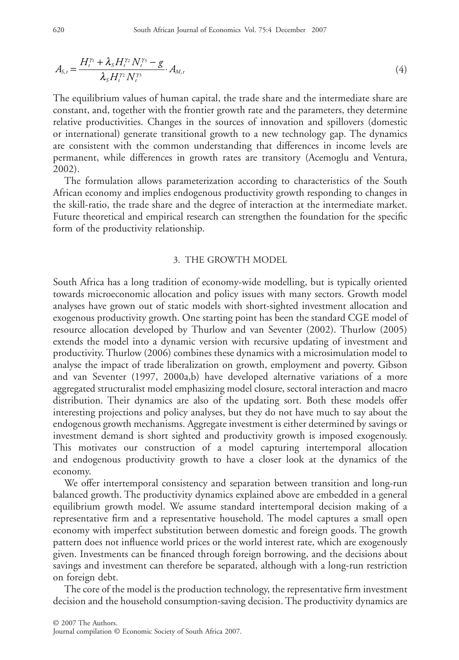$$
A_{S,t} = \frac{H_t^{\gamma_1} + \lambda_S H_t^{\gamma_2} N_t^{\gamma_3} - g}{\lambda_S H_t^{\gamma_2} N_t^{\gamma_3}} \cdot A_{M,t}
$$
(4)

The equilibrium values of human capital, the trade share and the intermediate share are constant, and, together with the frontier growth rate and the parameters, they determine relative productivities. Changes in the sources of innovation and spillovers (domestic or international) generate transitional growth to a new technology gap. The dynamics are consistent with the common understanding that differences in income levels are permanent, while differences in growth rates are transitory (Acemoglu and Ventura, 2002).

The formulation allows parameterization according to characteristics of the South African economy and implies endogenous productivity growth responding to changes in the skill-ratio, the trade share and the degree of interaction at the intermediate market. Future theoretical and empirical research can strengthen the foundation for the specific form of the productivity relationship.

#### 3. THE GROWTH MODEL

South Africa has a long tradition of economy-wide modelling, but is typically oriented towards microeconomic allocation and policy issues with many sectors. Growth model analyses have grown out of static models with short-sighted investment allocation and exogenous productivity growth. One starting point has been the standard CGE model of resource allocation developed by Thurlow and van Seventer (2002). Thurlow (2005) extends the model into a dynamic version with recursive updating of investment and productivity. Thurlow (2006) combines these dynamics with a microsimulation model to analyse the impact of trade liberalization on growth, employment and poverty. Gibson and van Seventer (1997, 2000a,b) have developed alternative variations of a more aggregated structuralist model emphasizing model closure, sectoral interaction and macro distribution. Their dynamics are also of the updating sort. Both these models offer interesting projections and policy analyses, but they do not have much to say about the endogenous growth mechanisms. Aggregate investment is either determined by savings or investment demand is short sighted and productivity growth is imposed exogenously. This motivates our construction of a model capturing intertemporal allocation and endogenous productivity growth to have a closer look at the dynamics of the economy.

We offer intertemporal consistency and separation between transition and long-run balanced growth. The productivity dynamics explained above are embedded in a general equilibrium growth model. We assume standard intertemporal decision making of a representative firm and a representative household. The model captures a small open economy with imperfect substitution between domestic and foreign goods. The growth pattern does not influence world prices or the world interest rate, which are exogenously given. Investments can be financed through foreign borrowing, and the decisions about savings and investment can therefore be separated, although with a long-run restriction on foreign debt.

The core of the model is the production technology, the representative firm investment decision and the household consumption-saving decision. The productivity dynamics are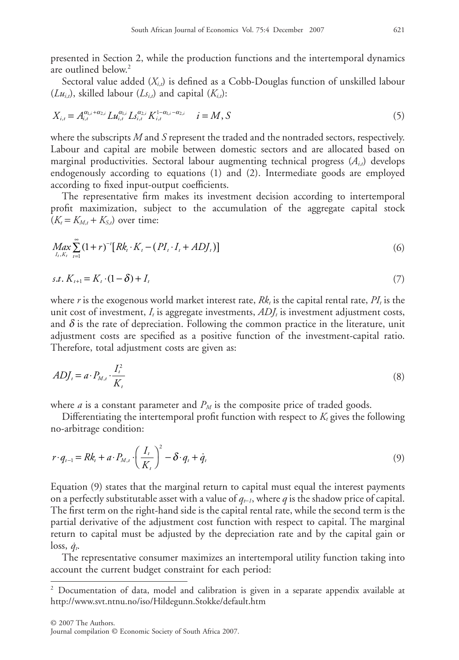presented in Section 2, while the production functions and the intertemporal dynamics are outlined below.<sup>2</sup>

Sectoral value added (*Xi*,*t*) is defined as a Cobb-Douglas function of unskilled labour  $(Lu_{i,t})$ , skilled labour  $(Ls_{i,t})$  and capital  $(K_{i,t})$ :

$$
X_{i,t} = A_{i,t}^{\alpha_{1,i} + \alpha_{2,i}} L u_{i,t}^{\alpha_{1,i}} L s_{i,t}^{\alpha_{2,i}} K_{i,t}^{1 - \alpha_{1,i} - \alpha_{2,i}} \quad i = M, S
$$
\n<sup>(5)</sup>

where the subscripts *M* and *S* represent the traded and the nontraded sectors, respectively. Labour and capital are mobile between domestic sectors and are allocated based on marginal productivities. Sectoral labour augmenting technical progress (*Ai*,*t*) develops endogenously according to equations (1) and (2). Intermediate goods are employed according to fixed input-output coefficients.

The representative firm makes its investment decision according to intertemporal profit maximization, subject to the accumulation of the aggregate capital stock  $(K_t = K_{M_t} + K_{S_t})$  over time:

$$
\underset{I_t, K_t}{Max} \sum_{t=1}^{\infty} (1+r)^{-t} [Rk_t \cdot K_t - (PI_t \cdot I_t + ADJ_t)] \tag{6}
$$

*st K K I tt t* . . <sup>+</sup><sup>1</sup> = ⋅− (1 <sup>δ</sup> ) + (7)

where *r* is the exogenous world market interest rate,  $Rk<sub>t</sub>$  is the capital rental rate,  $PI<sub>t</sub>$  is the unit cost of investment,  $I_t$  is aggregate investments,  $ADI_t$  is investment adjustment costs, and  $\delta$  is the rate of depreciation. Following the common practice in the literature, unit adjustment costs are specified as a positive function of the investment-capital ratio. Therefore, total adjustment costs are given as:

$$
ADJ_t = a \cdot P_{M,t} \cdot \frac{I_t^2}{K_t} \tag{8}
$$

where  $a$  is a constant parameter and  $P_M$  is the composite price of traded goods.

Differentiating the intertemporal profit function with respect to  $K_t$  gives the following no-arbitrage condition:

$$
r \cdot q_{t-1} = Rk_t + a \cdot P_{M,t} \cdot \left(\frac{I_t}{K_t}\right)^2 - \delta \cdot q_t + \dot{q}_t
$$
\n
$$
\tag{9}
$$

Equation (9) states that the marginal return to capital must equal the interest payments on a perfectly substitutable asset with a value of  $q_{t-1}$ , where q is the shadow price of capital. The first term on the right-hand side is the capital rental rate, while the second term is the partial derivative of the adjustment cost function with respect to capital. The marginal return to capital must be adjusted by the depreciation rate and by the capital gain or  $\log s, \dot{q}_t$ .

The representative consumer maximizes an intertemporal utility function taking into account the current budget constraint for each period:

<sup>&</sup>lt;sup>2</sup> Documentation of data, model and calibration is given in a separate appendix available at <http://www.svt.ntnu.no/iso/Hildegunn.Stokke/default.htm>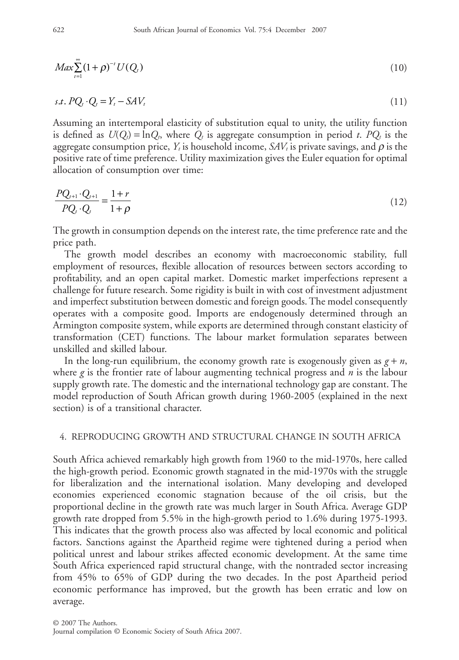$$
Max_{t=1}^{\infty} (1+\rho)^{-t} U(Q_t)
$$
\n(10)

$$
s.t. PQ_t \cdot Q_t = Y_t - SAV_t \tag{11}
$$

Assuming an intertemporal elasticity of substitution equal to unity, the utility function is defined as  $U(Q<sub>i</sub>) = \ln Q<sub>i</sub>$ , where  $Q<sub>i</sub>$  is aggregate consumption in period *t*. PQ<sub>t</sub> is the aggregate consumption price,  $Y_t$  is household income,  $SAV_t$  is private savings, and  $\rho$  is the positive rate of time preference. Utility maximization gives the Euler equation for optimal allocation of consumption over time:

$$
\frac{PQ_{t+1} \cdot Q_{t+1}}{PQ_t \cdot Q_t} = \frac{1+r}{1+\rho}
$$
\n(12)

The growth in consumption depends on the interest rate, the time preference rate and the price path.

The growth model describes an economy with macroeconomic stability, full employment of resources, flexible allocation of resources between sectors according to profitability, and an open capital market. Domestic market imperfections represent a challenge for future research. Some rigidity is built in with cost of investment adjustment and imperfect substitution between domestic and foreign goods. The model consequently operates with a composite good. Imports are endogenously determined through an Armington composite system, while exports are determined through constant elasticity of transformation (CET) functions. The labour market formulation separates between unskilled and skilled labour.

In the long-run equilibrium, the economy growth rate is exogenously given as  $g + n$ , where *g* is the frontier rate of labour augmenting technical progress and *n* is the labour supply growth rate. The domestic and the international technology gap are constant. The model reproduction of South African growth during 1960-2005 (explained in the next section) is of a transitional character.

## 4. REPRODUCING GROWTH AND STRUCTURAL CHANGE IN SOUTH AFRICA

South Africa achieved remarkably high growth from 1960 to the mid-1970s, here called the high-growth period. Economic growth stagnated in the mid-1970s with the struggle for liberalization and the international isolation. Many developing and developed economies experienced economic stagnation because of the oil crisis, but the proportional decline in the growth rate was much larger in South Africa. Average GDP growth rate dropped from 5.5% in the high-growth period to 1.6% during 1975-1993. This indicates that the growth process also was affected by local economic and political factors. Sanctions against the Apartheid regime were tightened during a period when political unrest and labour strikes affected economic development. At the same time South Africa experienced rapid structural change, with the nontraded sector increasing from 45% to 65% of GDP during the two decades. In the post Apartheid period economic performance has improved, but the growth has been erratic and low on average.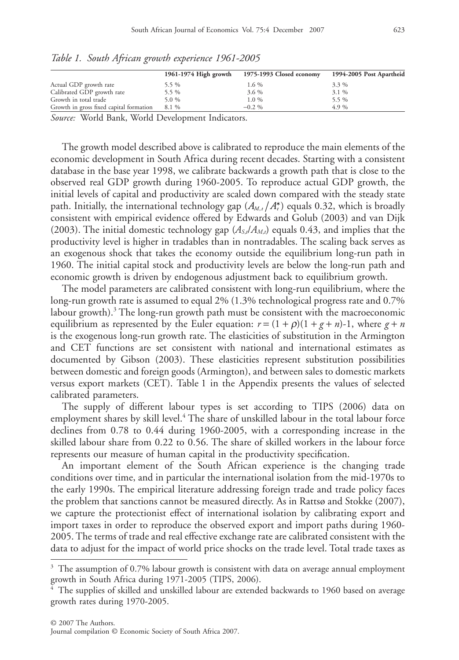|                                         | 1961-1974 High growth | 1975-1993 Closed economy | 1994-2005 Post Apartheid |
|-----------------------------------------|-----------------------|--------------------------|--------------------------|
| Actual GDP growth rate                  | 5.5 %                 | $1.6\%$                  | $3.3\%$                  |
| Calibrated GDP growth rate              | 5.5 %                 | $3.6\%$                  | $3.1\%$                  |
| Growth in total trade                   | $5.0\%$               | $1.0\%$                  | $5.5\%$                  |
| Growth in gross fixed capital formation | 8.1 %                 | $-0.2\%$                 | 4.9 %                    |

*Table 1. South African growth experience 1961-2005*

*Source:* World Bank, World Development Indicators.

The growth model described above is calibrated to reproduce the main elements of the economic development in South Africa during recent decades. Starting with a consistent database in the base year 1998, we calibrate backwards a growth path that is close to the observed real GDP growth during 1960-2005. To reproduce actual GDP growth, the initial levels of capital and productivity are scaled down compared with the steady state path. Initially, the international technology gap  $(A_{M,t}/A_t^*)$  equals 0.32, which is broadly consistent with empirical evidence offered by Edwards and Golub (2003) and van Dijk (2003). The initial domestic technology gap (*AS*,*t*/*AM*,*t*) equals 0.43, and implies that the productivity level is higher in tradables than in nontradables. The scaling back serves as an exogenous shock that takes the economy outside the equilibrium long-run path in 1960. The initial capital stock and productivity levels are below the long-run path and economic growth is driven by endogenous adjustment back to equilibrium growth.

The model parameters are calibrated consistent with long-run equilibrium, where the long-run growth rate is assumed to equal 2% (1.3% technological progress rate and 0.7% labour growth).<sup>3</sup> The long-run growth path must be consistent with the macroeconomic equilibrium as represented by the Euler equation:  $r = (1 + \rho)(1 + g + n)$ -1, where  $g + n$ is the exogenous long-run growth rate. The elasticities of substitution in the Armington and CET functions are set consistent with national and international estimates as documented by Gibson (2003). These elasticities represent substitution possibilities between domestic and foreign goods (Armington), and between sales to domestic markets versus export markets (CET). Table 1 in the Appendix presents the values of selected calibrated parameters.

The supply of different labour types is set according to TIPS (2006) data on employment shares by skill level.<sup>4</sup> The share of unskilled labour in the total labour force declines from 0.78 to 0.44 during 1960-2005, with a corresponding increase in the skilled labour share from 0.22 to 0.56. The share of skilled workers in the labour force represents our measure of human capital in the productivity specification.

An important element of the South African experience is the changing trade conditions over time, and in particular the international isolation from the mid-1970s to the early 1990s. The empirical literature addressing foreign trade and trade policy faces the problem that sanctions cannot be measured directly. As in Rattsø and Stokke (2007), we capture the protectionist effect of international isolation by calibrating export and import taxes in order to reproduce the observed export and import paths during 1960- 2005. The terms of trade and real effective exchange rate are calibrated consistent with the data to adjust for the impact of world price shocks on the trade level. Total trade taxes as

<sup>&</sup>lt;sup>3</sup> The assumption of 0.7% labour growth is consistent with data on average annual employment growth in South Africa during 1971-2005 (TIPS, 2006).

The supplies of skilled and unskilled labour are extended backwards to 1960 based on average growth rates during 1970-2005.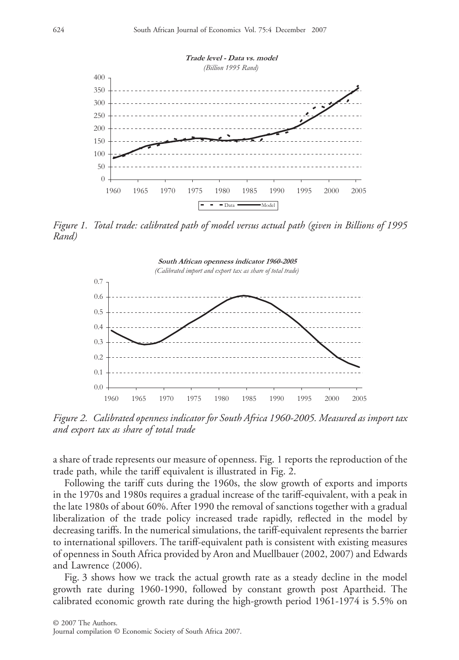

*Figure 1. Total trade: calibrated path of model versus actual path (given in Billions of 1995 Rand)*



*Figure 2. Calibrated openness indicator for South Africa 1960-2005. Measured as import tax and export tax as share of total trade*

a share of trade represents our measure of openness. Fig. 1 reports the reproduction of the trade path, while the tariff equivalent is illustrated in Fig. 2.

Following the tariff cuts during the 1960s, the slow growth of exports and imports in the 1970s and 1980s requires a gradual increase of the tariff-equivalent, with a peak in the late 1980s of about 60%. After 1990 the removal of sanctions together with a gradual liberalization of the trade policy increased trade rapidly, reflected in the model by decreasing tariffs. In the numerical simulations, the tariff-equivalent represents the barrier to international spillovers. The tariff-equivalent path is consistent with existing measures of openness in South Africa provided by Aron and Muellbauer (2002, 2007) and Edwards and Lawrence (2006).

Fig. 3 shows how we track the actual growth rate as a steady decline in the model growth rate during 1960-1990, followed by constant growth post Apartheid. The calibrated economic growth rate during the high-growth period 1961-1974 is 5.5% on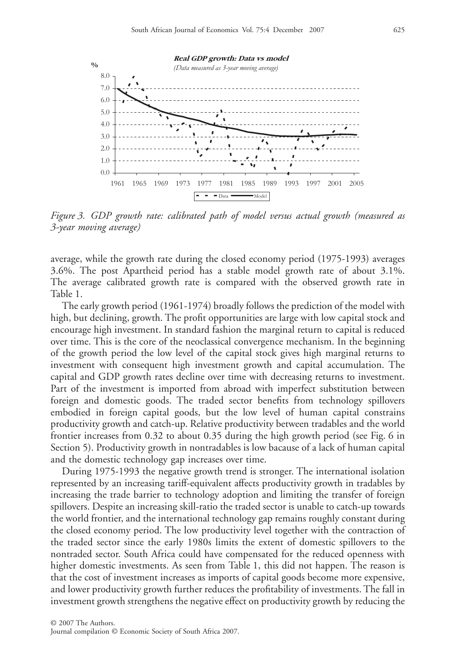

*Figure 3. GDP growth rate: calibrated path of model versus actual growth (measured as 3-year moving average)*

average, while the growth rate during the closed economy period (1975-1993) averages 3.6%. The post Apartheid period has a stable model growth rate of about 3.1%. The average calibrated growth rate is compared with the observed growth rate in Table 1.

The early growth period (1961-1974) broadly follows the prediction of the model with high, but declining, growth. The profit opportunities are large with low capital stock and encourage high investment. In standard fashion the marginal return to capital is reduced over time. This is the core of the neoclassical convergence mechanism. In the beginning of the growth period the low level of the capital stock gives high marginal returns to investment with consequent high investment growth and capital accumulation. The capital and GDP growth rates decline over time with decreasing returns to investment. Part of the investment is imported from abroad with imperfect substitution between foreign and domestic goods. The traded sector benefits from technology spillovers embodied in foreign capital goods, but the low level of human capital constrains productivity growth and catch-up. Relative productivity between tradables and the world frontier increases from 0.32 to about 0.35 during the high growth period (see Fig. 6 in Section 5). Productivity growth in nontradables is low bacause of a lack of human capital and the domestic technology gap increases over time.

During 1975-1993 the negative growth trend is stronger. The international isolation represented by an increasing tariff-equivalent affects productivity growth in tradables by increasing the trade barrier to technology adoption and limiting the transfer of foreign spillovers. Despite an increasing skill-ratio the traded sector is unable to catch-up towards the world frontier, and the international technology gap remains roughly constant during the closed economy period. The low productivity level together with the contraction of the traded sector since the early 1980s limits the extent of domestic spillovers to the nontraded sector. South Africa could have compensated for the reduced openness with higher domestic investments. As seen from Table 1, this did not happen. The reason is that the cost of investment increases as imports of capital goods become more expensive, and lower productivity growth further reduces the profitability of investments. The fall in investment growth strengthens the negative effect on productivity growth by reducing the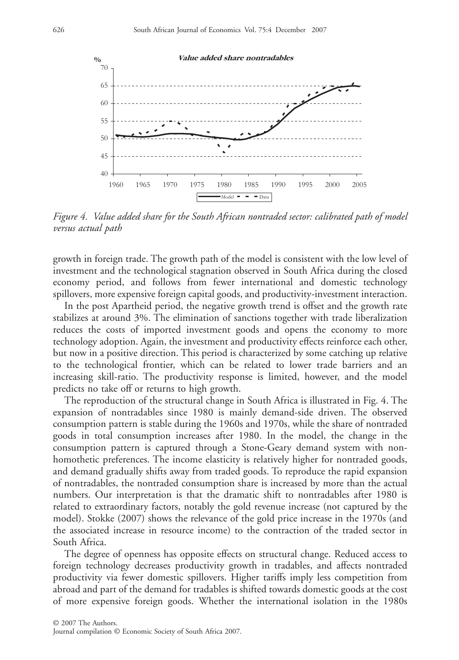

*Figure 4. Value added share for the South African nontraded sector: calibrated path of model versus actual path*

growth in foreign trade. The growth path of the model is consistent with the low level of investment and the technological stagnation observed in South Africa during the closed economy period, and follows from fewer international and domestic technology spillovers, more expensive foreign capital goods, and productivity-investment interaction.

In the post Apartheid period, the negative growth trend is offset and the growth rate stabilizes at around 3%. The elimination of sanctions together with trade liberalization reduces the costs of imported investment goods and opens the economy to more technology adoption. Again, the investment and productivity effects reinforce each other, but now in a positive direction. This period is characterized by some catching up relative to the technological frontier, which can be related to lower trade barriers and an increasing skill-ratio. The productivity response is limited, however, and the model predicts no take off or returns to high growth.

The reproduction of the structural change in South Africa is illustrated in Fig. 4. The expansion of nontradables since 1980 is mainly demand-side driven. The observed consumption pattern is stable during the 1960s and 1970s, while the share of nontraded goods in total consumption increases after 1980. In the model, the change in the consumption pattern is captured through a Stone-Geary demand system with nonhomothetic preferences. The income elasticity is relatively higher for nontraded goods, and demand gradually shifts away from traded goods. To reproduce the rapid expansion of nontradables, the nontraded consumption share is increased by more than the actual numbers. Our interpretation is that the dramatic shift to nontradables after 1980 is related to extraordinary factors, notably the gold revenue increase (not captured by the model). Stokke (2007) shows the relevance of the gold price increase in the 1970s (and the associated increase in resource income) to the contraction of the traded sector in South Africa.

The degree of openness has opposite effects on structural change. Reduced access to foreign technology decreases productivity growth in tradables, and affects nontraded productivity via fewer domestic spillovers. Higher tariffs imply less competition from abroad and part of the demand for tradables is shifted towards domestic goods at the cost of more expensive foreign goods. Whether the international isolation in the 1980s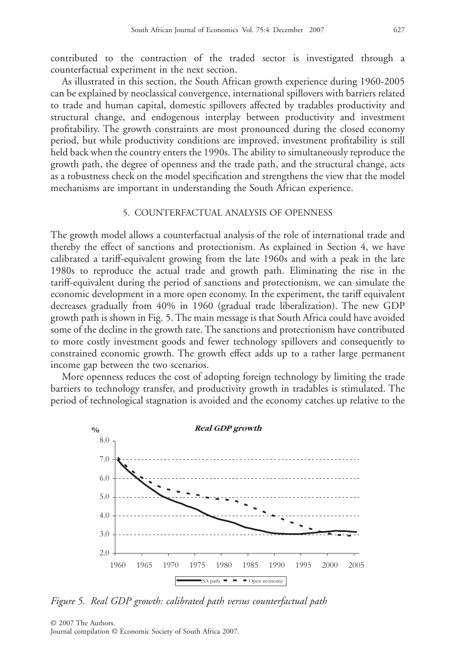contributed to the contraction of the traded sector is investigated through a counterfactual experiment in the next section.

As illustrated in this section, the South African growth experience during 1960-2005 can be explained by neoclassical convergence, international spillovers with barriers related to trade and human capital, domestic spillovers affected by tradables productivity and structural change, and endogenous interplay between productivity and investment profitability. The growth constraints are most pronounced during the closed economy period, but while productivity conditions are improved, investment profitability is still held back when the country enters the 1990s. The ability to simultaneously reproduce the growth path, the degree of openness and the trade path, and the structural change, acts as a robustness check on the model specification and strengthens the view that the model mechanisms are important in understanding the South African experience.

## 5. COUNTERFACTUAL ANALYSIS OF OPENNESS

The growth model allows a counterfactual analysis of the role of international trade and thereby the effect of sanctions and protectionism. As explained in Section 4, we have calibrated a tariff-equivalent growing from the late 1960s and with a peak in the late 1980s to reproduce the actual trade and growth path. Eliminating the rise in the tariff-equivalent during the period of sanctions and protectionism, we can simulate the economic development in a more open economy. In the experiment, the tariff equivalent decreases gradually from 40% in 1960 (gradual trade liberalization). The new GDP growth path is shown in Fig. 5. The main message is that South Africa could have avoided some of the decline in the growth rate. The sanctions and protectionism have contributed to more costly investment goods and fewer technology spillovers and consequently to constrained economic growth. The growth effect adds up to a rather large permanent income gap between the two scenarios.

More openness reduces the cost of adopting foreign technology by limiting the trade barriers to technology transfer, and productivity growth in tradables is stimulated. The period of technological stagnation is avoided and the economy catches up relative to the



*Figure 5. Real GDP growth: calibrated path versus counterfactual path*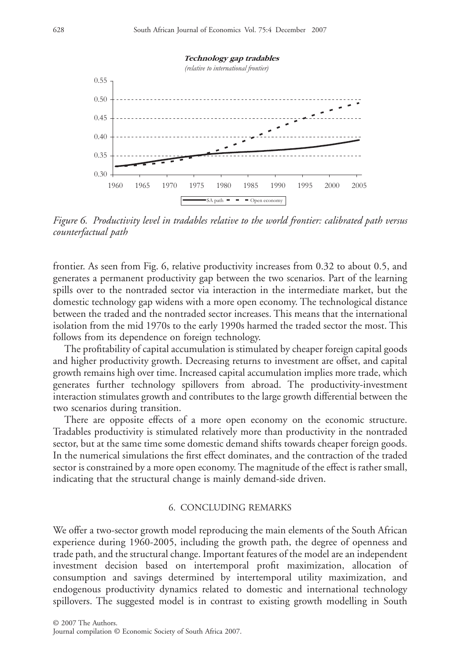

*Figure 6. Productivity level in tradables relative to the world frontier: calibrated path versus counterfactual path*

frontier. As seen from Fig. 6, relative productivity increases from 0.32 to about 0.5, and generates a permanent productivity gap between the two scenarios. Part of the learning spills over to the nontraded sector via interaction in the intermediate market, but the domestic technology gap widens with a more open economy. The technological distance between the traded and the nontraded sector increases. This means that the international isolation from the mid 1970s to the early 1990s harmed the traded sector the most. This follows from its dependence on foreign technology.

The profitability of capital accumulation is stimulated by cheaper foreign capital goods and higher productivity growth. Decreasing returns to investment are offset, and capital growth remains high over time. Increased capital accumulation implies more trade, which generates further technology spillovers from abroad. The productivity-investment interaction stimulates growth and contributes to the large growth differential between the two scenarios during transition.

There are opposite effects of a more open economy on the economic structure. Tradables productivity is stimulated relatively more than productivity in the nontraded sector, but at the same time some domestic demand shifts towards cheaper foreign goods. In the numerical simulations the first effect dominates, and the contraction of the traded sector is constrained by a more open economy. The magnitude of the effect is rather small, indicating that the structural change is mainly demand-side driven.

### 6. CONCLUDING REMARKS

We offer a two-sector growth model reproducing the main elements of the South African experience during 1960-2005, including the growth path, the degree of openness and trade path, and the structural change. Important features of the model are an independent investment decision based on intertemporal profit maximization, allocation of consumption and savings determined by intertemporal utility maximization, and endogenous productivity dynamics related to domestic and international technology spillovers. The suggested model is in contrast to existing growth modelling in South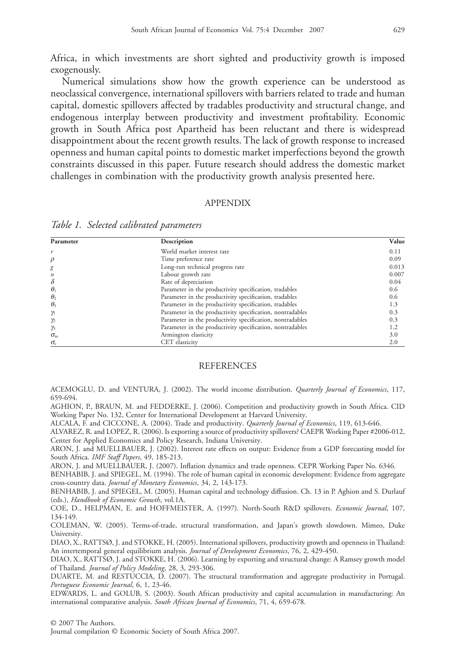Africa, in which investments are short sighted and productivity growth is imposed exogenously.

Numerical simulations show how the growth experience can be understood as neoclassical convergence, international spillovers with barriers related to trade and human capital, domestic spillovers affected by tradables productivity and structural change, and endogenous interplay between productivity and investment profitability. Economic growth in South Africa post Apartheid has been reluctant and there is widespread disappointment about the recent growth results. The lack of growth response to increased openness and human capital points to domestic market imperfections beyond the growth constraints discussed in this paper. Future research should address the domestic market challenges in combination with the productivity growth analysis presented here.

## APPENDIX

*Table 1. Selected calibrated parameters*

| Parameter        | Description                                               | Value |
|------------------|-----------------------------------------------------------|-------|
| r                | World market interest rate                                | 0.11  |
| ρ                | Time preference rate                                      | 0.09  |
| g                | Long-run technical progress rate                          | 0.013 |
| $\it n$          | Labour growth rate                                        | 0.007 |
| δ                | Rate of depreciation                                      | 0.04  |
| $\theta_1$       | Parameter in the productivity specification, tradables    | 0.6   |
| $\theta_2$       | Parameter in the productivity specification, tradables    | 0.6   |
| $\theta_3$       | Parameter in the productivity specification, tradables    | 1.3   |
| $\gamma_1$       | Parameter in the productivity specification, nontradables | 0.3   |
| $\gamma_2$       | Parameter in the productivity specification, nontradables | 0.3   |
| $\gamma$         | Parameter in the productivity specification, nontradables | 1.2   |
| $\sigma_{\rm m}$ | Armington elasticity                                      | 3.0   |
| $\sigma_{\rm c}$ | CET elasticity                                            | 2.0   |

#### REFERENCES

ACEMOGLU, D. and VENTURA, J. (2002). The world income distribution. *Quarterly Journal of Economics*, 117, 659-694.

AGHION, P., BRAUN, M. and FEDDERKE, J. (2006). Competition and productivity growth in South Africa. CID Working Paper No. 132, Center for International Development at Harvard University.

ALCALA, F. and CICCONE, A. (2004). Trade and productivity. *Quarterly Journal of Economics*, 119, 613-646.

ALVAREZ, R. and LOPEZ, R. (2006). Is exporting a source of productivity spillovers? CAEPR Working Paper #2006-012, Center for Applied Economics and Policy Research, Indiana University.

ARON, J. and MUELLBAUER, J. (2002). Interest rate effects on output: Evidence from a GDP forecasting model for South Africa. *IMF Staff Papers*, 49, 185-213.

ARON, J. and MUELLBAUER, J. (2007). Inflation dynamics and trade openness. CEPR Working Paper No. 6346.

BENHABIB, J. and SPIEGEL, M. (1994). The role of human capital in economic development: Evidence from aggregate cross-country data. *Journal of Monetary Economics*, 34, 2, 143-173.

BENHABIB, J. and SPIEGEL, M. (2005). Human capital and technology diffusion. Ch. 13 in P. Aghion and S. Durlauf (eds.), *Handbook of Economic Growth*, vol.1A.

COE, D., HELPMAN, E. and HOFFMEISTER, A. (1997). North-South R&D spillovers. *Economic Journal*, 107, 134-149.

COLEMAN, W. (2005). Terms-of-trade, structural transformation, and Japan's growth slowdown. Mimeo, Duke University.

DIAO, X., RATTSØ, J. and STOKKE, H. (2005). International spillovers, productivity growth and openness in Thailand: An intertemporal general equilibrium analysis. *Journal of Development Economics*, 76, 2, 429-450.

DIAO, X., RATTSØ, J. and STOKKE, H. (2006). Learning by exporting and structural change: A Ramsey growth model of Thailand. *Journal of Policy Modeling*, 28, 3, 293-306.

DUARTE, M. and RESTUCCIA, D. (2007). The structural transformation and aggregate productivity in Portugal. *Portuguese Economic Journal*, 6, 1, 23-46.

EDWARDS, L. and GOLUB, S. (2003). South African productivity and capital accumulation in manufacturing: An international comparative analysis. *South African Journal of Economics*, 71, 4, 659-678.

© 2007 The Authors. Journal compilation © Economic Society of South Africa 2007.